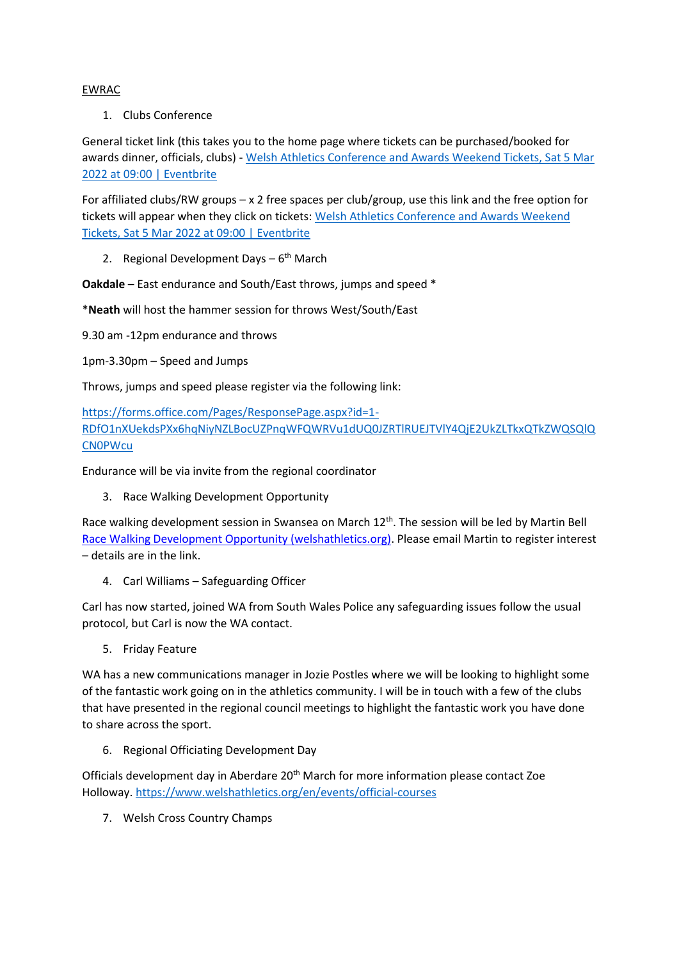## EWRAC

1. Clubs Conference

General ticket link (this takes you to the home page where tickets can be purchased/booked for awards dinner, officials, clubs) - [Welsh Athletics Conference and Awards Weekend Tickets, Sat 5 Mar](https://www.eventbrite.co.uk/e/welsh-athletics-conference-and-awards-weekend-tickets-259368948507)  [2022 at 09:00 | Eventbrite](https://www.eventbrite.co.uk/e/welsh-athletics-conference-and-awards-weekend-tickets-259368948507)

For affiliated clubs/RW groups – x 2 free spaces per club/group, use this link and the free option for tickets will appear when they click on tickets: [Welsh Athletics Conference and Awards Weekend](https://www.eventbrite.co.uk/e/welsh-athletics-conference-and-awards-weekend-tickets-259368948507?discount=CLUB)  [Tickets, Sat 5 Mar 2022 at 09:00 | Eventbrite](https://www.eventbrite.co.uk/e/welsh-athletics-conference-and-awards-weekend-tickets-259368948507?discount=CLUB)

2. Regional Development Days - 6<sup>th</sup> March

**Oakdale** – East endurance and South/East throws, jumps and speed \*

\***Neath** will host the hammer session for throws West/South/East

9.30 am -12pm endurance and throws

1pm-3.30pm – Speed and Jumps

Throws, jumps and speed please register via the following link:

[https://forms.office.com/Pages/ResponsePage.aspx?id=1-](https://forms.office.com/Pages/ResponsePage.aspx?id=1-RDfO1nXUekdsPXx6hqNiyNZLBocUZPnqWFQWRVu1dUQ0JZRTlRUEJTVlY4QjE2UkZLTkxQTkZWQSQlQCN0PWcu) [RDfO1nXUekdsPXx6hqNiyNZLBocUZPnqWFQWRVu1dUQ0JZRTlRUEJTVlY4QjE2UkZLTkxQTkZWQSQlQ](https://forms.office.com/Pages/ResponsePage.aspx?id=1-RDfO1nXUekdsPXx6hqNiyNZLBocUZPnqWFQWRVu1dUQ0JZRTlRUEJTVlY4QjE2UkZLTkxQTkZWQSQlQCN0PWcu) [CN0PWcu](https://forms.office.com/Pages/ResponsePage.aspx?id=1-RDfO1nXUekdsPXx6hqNiyNZLBocUZPnqWFQWRVu1dUQ0JZRTlRUEJTVlY4QjE2UkZLTkxQTkZWQSQlQCN0PWcu)

Endurance will be via invite from the regional coordinator

3. Race Walking Development Opportunity

Race walking development session in Swansea on March 12<sup>th</sup>. The session will be led by Martin Bell [Race Walking Development Opportunity \(welshathletics.org\).](https://www.welshathletics.org/en/event/race-walking-development-opportunity) Please email Martin to register interest – details are in the link.

4. Carl Williams – Safeguarding Officer

Carl has now started, joined WA from South Wales Police any safeguarding issues follow the usual protocol, but Carl is now the WA contact.

5. Friday Feature

WA has a new communications manager in Jozie Postles where we will be looking to highlight some of the fantastic work going on in the athletics community. I will be in touch with a few of the clubs that have presented in the regional council meetings to highlight the fantastic work you have done to share across the sport.

6. Regional Officiating Development Day

Officials development day in Aberdare 20<sup>th</sup> March for more information please contact Zoe Holloway. <https://www.welshathletics.org/en/events/official-courses>

7. Welsh Cross Country Champs